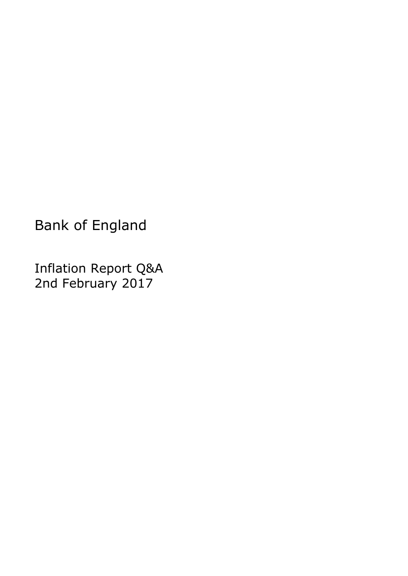Bank of England

Inflation Report Q&A 2nd February 2017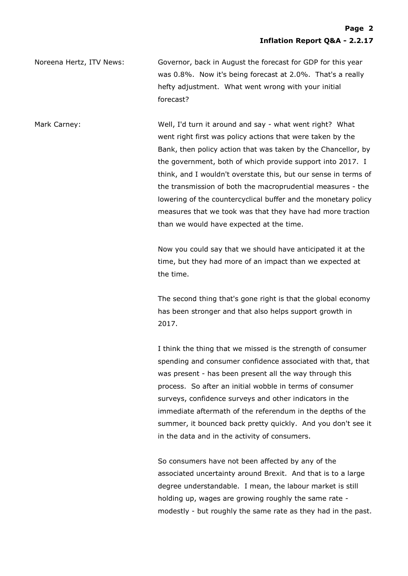Noreena Hertz, ITV News: Governor, back in August the forecast for GDP for this year was 0.8%. Now it's being forecast at 2.0%. That's a really hefty adjustment. What went wrong with your initial forecast?

Mark Carney: Well, I'd turn it around and say - what went right? What went right first was policy actions that were taken by the Bank, then policy action that was taken by the Chancellor, by the government, both of which provide support into 2017. I think, and I wouldn't overstate this, but our sense in terms of the transmission of both the macroprudential measures - the lowering of the countercyclical buffer and the monetary policy measures that we took was that they have had more traction than we would have expected at the time.

> Now you could say that we should have anticipated it at the time, but they had more of an impact than we expected at the time.

The second thing that's gone right is that the global economy has been stronger and that also helps support growth in 2017.

I think the thing that we missed is the strength of consumer spending and consumer confidence associated with that, that was present - has been present all the way through this process. So after an initial wobble in terms of consumer surveys, confidence surveys and other indicators in the immediate aftermath of the referendum in the depths of the summer, it bounced back pretty quickly. And you don't see it in the data and in the activity of consumers.

So consumers have not been affected by any of the associated uncertainty around Brexit. And that is to a large degree understandable. I mean, the labour market is still holding up, wages are growing roughly the same rate modestly - but roughly the same rate as they had in the past.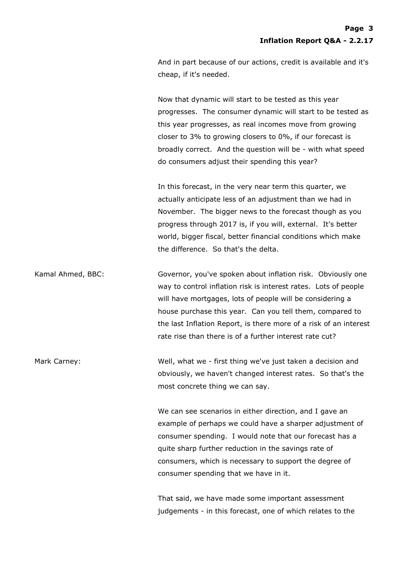And in part because of our actions, credit is available and it's cheap, if it's needed.

Now that dynamic will start to be tested as this year progresses. The consumer dynamic will start to be tested as this year progresses, as real incomes move from growing closer to 3% to growing closers to 0%, if our forecast is broadly correct. And the question will be - with what speed do consumers adjust their spending this year?

In this forecast, in the very near term this quarter, we actually anticipate less of an adjustment than we had in November. The bigger news to the forecast though as you progress through 2017 is, if you will, external. It's better world, bigger fiscal, better financial conditions which make the difference. So that's the delta.

Kamal Ahmed, BBC: Governor, you've spoken about inflation risk. Obviously one way to control inflation risk is interest rates. Lots of people will have mortgages, lots of people will be considering a house purchase this year. Can you tell them, compared to the last Inflation Report, is there more of a risk of an interest rate rise than there is of a further interest rate cut?

Mark Carney: Well, what we - first thing we've just taken a decision and obviously, we haven't changed interest rates. So that's the most concrete thing we can say.

> We can see scenarios in either direction, and I gave an example of perhaps we could have a sharper adjustment of consumer spending. I would note that our forecast has a quite sharp further reduction in the savings rate of consumers, which is necessary to support the degree of consumer spending that we have in it.

That said, we have made some important assessment judgements - in this forecast, one of which relates to the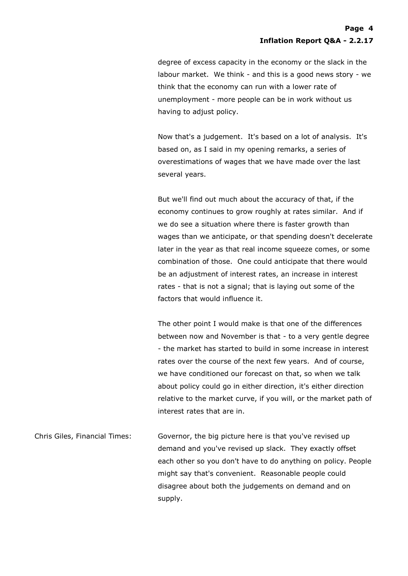degree of excess capacity in the economy or the slack in the labour market. We think - and this is a good news story - we think that the economy can run with a lower rate of unemployment - more people can be in work without us having to adjust policy.

Now that's a judgement. It's based on a lot of analysis. It's based on, as I said in my opening remarks, a series of overestimations of wages that we have made over the last several years.

But we'll find out much about the accuracy of that, if the economy continues to grow roughly at rates similar. And if we do see a situation where there is faster growth than wages than we anticipate, or that spending doesn't decelerate later in the year as that real income squeeze comes, or some combination of those. One could anticipate that there would be an adjustment of interest rates, an increase in interest rates - that is not a signal; that is laying out some of the factors that would influence it.

The other point I would make is that one of the differences between now and November is that - to a very gentle degree - the market has started to build in some increase in interest rates over the course of the next few years. And of course, we have conditioned our forecast on that, so when we talk about policy could go in either direction, it's either direction relative to the market curve, if you will, or the market path of interest rates that are in.

Chris Giles, Financial Times: Governor, the big picture here is that you've revised up demand and you've revised up slack. They exactly offset each other so you don't have to do anything on policy. People might say that's convenient. Reasonable people could disagree about both the judgements on demand and on supply.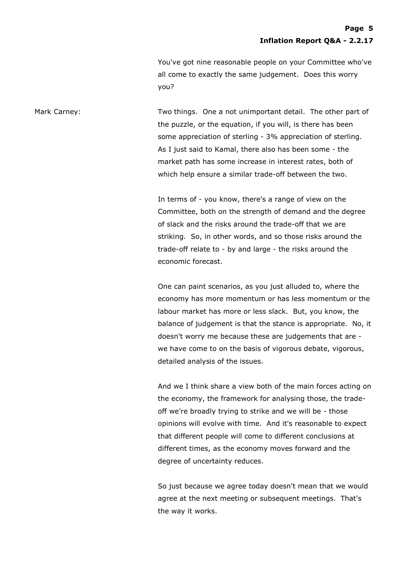You've got nine reasonable people on your Committee who've all come to exactly the same judgement. Does this worry you?

Mark Carney: Two things. One a not unimportant detail. The other part of the puzzle, or the equation, if you will, is there has been some appreciation of sterling - 3% appreciation of sterling. As I just said to Kamal, there also has been some - the market path has some increase in interest rates, both of which help ensure a similar trade-off between the two.

> In terms of - you know, there's a range of view on the Committee, both on the strength of demand and the degree of slack and the risks around the trade-off that we are striking. So, in other words, and so those risks around the trade-off relate to - by and large - the risks around the economic forecast.

One can paint scenarios, as you just alluded to, where the economy has more momentum or has less momentum or the labour market has more or less slack. But, you know, the balance of judgement is that the stance is appropriate. No, it doesn't worry me because these are judgements that are we have come to on the basis of vigorous debate, vigorous, detailed analysis of the issues.

And we I think share a view both of the main forces acting on the economy, the framework for analysing those, the tradeoff we're broadly trying to strike and we will be - those opinions will evolve with time. And it's reasonable to expect that different people will come to different conclusions at different times, as the economy moves forward and the degree of uncertainty reduces.

So just because we agree today doesn't mean that we would agree at the next meeting or subsequent meetings. That's the way it works.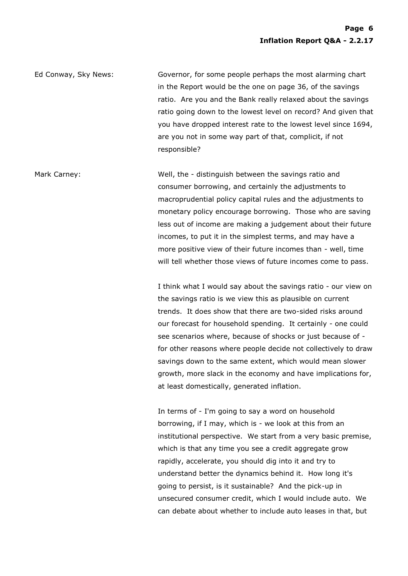Ed Conway, Sky News: Governor, for some people perhaps the most alarming chart in the Report would be the one on page 36, of the savings ratio. Are you and the Bank really relaxed about the savings ratio going down to the lowest level on record? And given that you have dropped interest rate to the lowest level since 1694, are you not in some way part of that, complicit, if not responsible?

Mark Carney: Well, the - distinguish between the savings ratio and consumer borrowing, and certainly the adjustments to macroprudential policy capital rules and the adjustments to monetary policy encourage borrowing. Those who are saving less out of income are making a judgement about their future incomes, to put it in the simplest terms, and may have a more positive view of their future incomes than - well, time will tell whether those views of future incomes come to pass.

> I think what I would say about the savings ratio - our view on the savings ratio is we view this as plausible on current trends. It does show that there are two-sided risks around our forecast for household spending. It certainly - one could see scenarios where, because of shocks or just because of for other reasons where people decide not collectively to draw savings down to the same extent, which would mean slower growth, more slack in the economy and have implications for, at least domestically, generated inflation.

> In terms of - I'm going to say a word on household borrowing, if I may, which is - we look at this from an institutional perspective. We start from a very basic premise, which is that any time you see a credit aggregate grow rapidly, accelerate, you should dig into it and try to understand better the dynamics behind it. How long it's going to persist, is it sustainable? And the pick-up in unsecured consumer credit, which I would include auto. We can debate about whether to include auto leases in that, but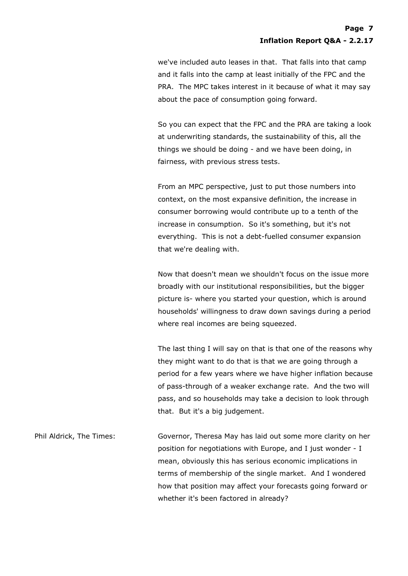we've included auto leases in that. That falls into that camp and it falls into the camp at least initially of the FPC and the PRA. The MPC takes interest in it because of what it may say about the pace of consumption going forward.

So you can expect that the FPC and the PRA are taking a look at underwriting standards, the sustainability of this, all the things we should be doing - and we have been doing, in fairness, with previous stress tests.

From an MPC perspective, just to put those numbers into context, on the most expansive definition, the increase in consumer borrowing would contribute up to a tenth of the increase in consumption. So it's something, but it's not everything. This is not a debt-fuelled consumer expansion that we're dealing with.

Now that doesn't mean we shouldn't focus on the issue more broadly with our institutional responsibilities, but the bigger picture is- where you started your question, which is around households' willingness to draw down savings during a period where real incomes are being squeezed.

The last thing I will say on that is that one of the reasons why they might want to do that is that we are going through a period for a few years where we have higher inflation because of pass-through of a weaker exchange rate. And the two will pass, and so households may take a decision to look through that. But it's a big judgement.

Phil Aldrick, The Times: Governor, Theresa May has laid out some more clarity on her position for negotiations with Europe, and I just wonder - I mean, obviously this has serious economic implications in terms of membership of the single market. And I wondered how that position may affect your forecasts going forward or whether it's been factored in already?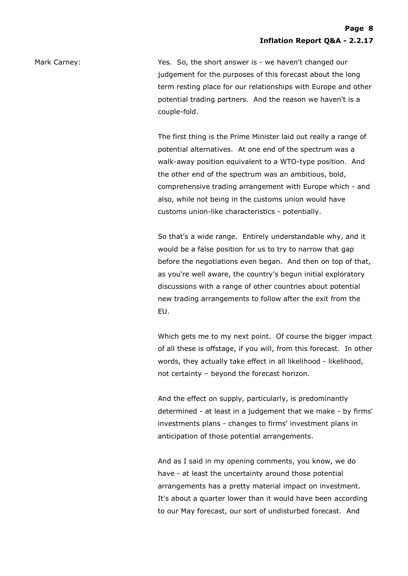Mark Carney: The Solidian State of Mark Carney: Yes. So, the short answer is - we haven't changed our judgement for the purposes of this forecast about the long term resting place for our relationships with Europe and other potential trading partners. And the reason we haven't is a couple-fold.

> The first thing is the Prime Minister laid out really a range of potential alternatives. At one end of the spectrum was a walk-away position equivalent to a WTO-type position. And the other end of the spectrum was an ambitious, bold, comprehensive trading arrangement with Europe which - and also, while not being in the customs union would have customs union-like characteristics - potentially.

> So that's a wide range. Entirely understandable why, and it would be a false position for us to try to narrow that gap before the negotiations even began. And then on top of that, as you're well aware, the country's begun initial exploratory discussions with a range of other countries about potential new trading arrangements to follow after the exit from the EU.

> Which gets me to my next point. Of course the bigger impact of all these is offstage, if you will, from this forecast. In other words, they actually take effect in all likelihood - likelihood, not certainty – beyond the forecast horizon.

> And the effect on supply, particularly, is predominantly determined - at least in a judgement that we make - by firms' investments plans - changes to firms' investment plans in anticipation of those potential arrangements.

And as I said in my opening comments, you know, we do have - at least the uncertainty around those potential arrangements has a pretty material impact on investment. It's about a quarter lower than it would have been according to our May forecast, our sort of undisturbed forecast. And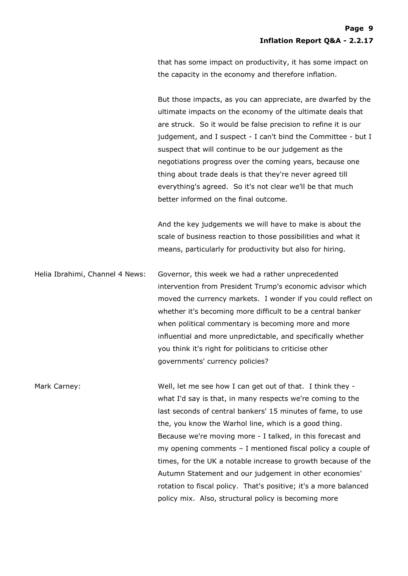that has some impact on productivity, it has some impact on the capacity in the economy and therefore inflation.

But those impacts, as you can appreciate, are dwarfed by the ultimate impacts on the economy of the ultimate deals that are struck. So it would be false precision to refine it is our judgement, and I suspect - I can't bind the Committee - but I suspect that will continue to be our judgement as the negotiations progress over the coming years, because one thing about trade deals is that they're never agreed till everything's agreed. So it's not clear we'll be that much better informed on the final outcome.

And the key judgements we will have to make is about the scale of business reaction to those possibilities and what it means, particularly for productivity but also for hiring.

Helia Ibrahimi, Channel 4 News: Governor, this week we had a rather unprecedented intervention from President Trump's economic advisor which moved the currency markets. I wonder if you could reflect on whether it's becoming more difficult to be a central banker when political commentary is becoming more and more influential and more unpredictable, and specifically whether you think it's right for politicians to criticise other governments' currency policies?

Mark Carney: Well, let me see how I can get out of that. I think they what I'd say is that, in many respects we're coming to the last seconds of central bankers' 15 minutes of fame, to use the, you know the Warhol line, which is a good thing. Because we're moving more - I talked, in this forecast and my opening comments – I mentioned fiscal policy a couple of times, for the UK a notable increase to growth because of the Autumn Statement and our judgement in other economies' rotation to fiscal policy. That's positive; it's a more balanced policy mix. Also, structural policy is becoming more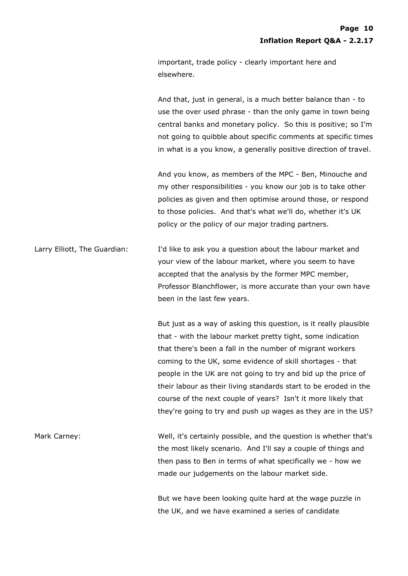important, trade policy - clearly important here and elsewhere.

And that, just in general, is a much better balance than - to use the over used phrase - than the only game in town being central banks and monetary policy. So this is positive; so I'm not going to quibble about specific comments at specific times in what is a you know, a generally positive direction of travel.

And you know, as members of the MPC - Ben, Minouche and my other responsibilities - you know our job is to take other policies as given and then optimise around those, or respond to those policies. And that's what we'll do, whether it's UK policy or the policy of our major trading partners.

Larry Elliott, The Guardian: I'd like to ask you a question about the labour market and your view of the labour market, where you seem to have accepted that the analysis by the former MPC member, Professor Blanchflower, is more accurate than your own have been in the last few years.

> But just as a way of asking this question, is it really plausible that - with the labour market pretty tight, some indication that there's been a fall in the number of migrant workers coming to the UK, some evidence of skill shortages - that people in the UK are not going to try and bid up the price of their labour as their living standards start to be eroded in the course of the next couple of years? Isn't it more likely that they're going to try and push up wages as they are in the US?

Mark Carney: Well, it's certainly possible, and the question is whether that's the most likely scenario. And I'll say a couple of things and then pass to Ben in terms of what specifically we - how we made our judgements on the labour market side.

> But we have been looking quite hard at the wage puzzle in the UK, and we have examined a series of candidate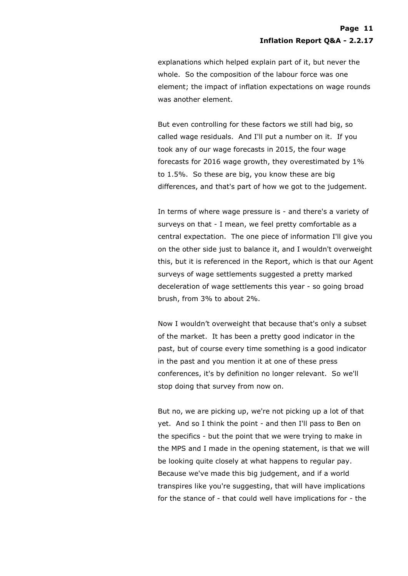explanations which helped explain part of it, but never the whole. So the composition of the labour force was one element; the impact of inflation expectations on wage rounds was another element.

But even controlling for these factors we still had big, so called wage residuals. And I'll put a number on it. If you took any of our wage forecasts in 2015, the four wage forecasts for 2016 wage growth, they overestimated by 1% to 1.5%. So these are big, you know these are big differences, and that's part of how we got to the judgement.

In terms of where wage pressure is - and there's a variety of surveys on that - I mean, we feel pretty comfortable as a central expectation. The one piece of information I'll give you on the other side just to balance it, and I wouldn't overweight this, but it is referenced in the Report, which is that our Agent surveys of wage settlements suggested a pretty marked deceleration of wage settlements this year - so going broad brush, from 3% to about 2%.

Now I wouldn't overweight that because that's only a subset of the market. It has been a pretty good indicator in the past, but of course every time something is a good indicator in the past and you mention it at one of these press conferences, it's by definition no longer relevant. So we'll stop doing that survey from now on.

But no, we are picking up, we're not picking up a lot of that yet. And so I think the point - and then I'll pass to Ben on the specifics - but the point that we were trying to make in the MPS and I made in the opening statement, is that we will be looking quite closely at what happens to regular pay. Because we've made this big judgement, and if a world transpires like you're suggesting, that will have implications for the stance of - that could well have implications for - the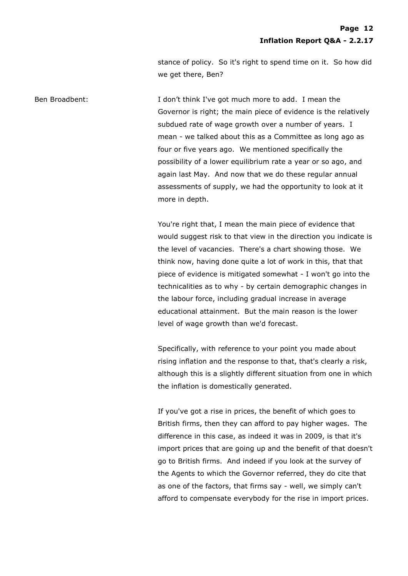stance of policy. So it's right to spend time on it. So how did we get there, Ben?

Ben Broadbent: I don't think I've got much more to add. I mean the Governor is right; the main piece of evidence is the relatively subdued rate of wage growth over a number of years. I mean - we talked about this as a Committee as long ago as four or five years ago. We mentioned specifically the possibility of a lower equilibrium rate a year or so ago, and again last May. And now that we do these regular annual assessments of supply, we had the opportunity to look at it more in depth.

> You're right that, I mean the main piece of evidence that would suggest risk to that view in the direction you indicate is the level of vacancies. There's a chart showing those. We think now, having done quite a lot of work in this, that that piece of evidence is mitigated somewhat - I won't go into the technicalities as to why - by certain demographic changes in the labour force, including gradual increase in average educational attainment. But the main reason is the lower level of wage growth than we'd forecast.

> Specifically, with reference to your point you made about rising inflation and the response to that, that's clearly a risk, although this is a slightly different situation from one in which the inflation is domestically generated.

> If you've got a rise in prices, the benefit of which goes to British firms, then they can afford to pay higher wages. The difference in this case, as indeed it was in 2009, is that it's import prices that are going up and the benefit of that doesn't go to British firms. And indeed if you look at the survey of the Agents to which the Governor referred, they do cite that as one of the factors, that firms say - well, we simply can't afford to compensate everybody for the rise in import prices.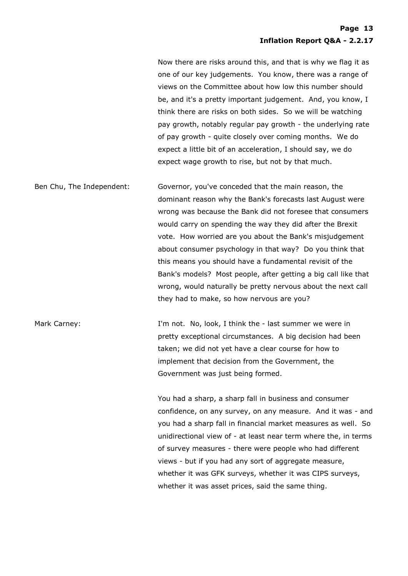Now there are risks around this, and that is why we flag it as one of our key judgements. You know, there was a range of views on the Committee about how low this number should be, and it's a pretty important judgement. And, you know, I think there are risks on both sides. So we will be watching pay growth, notably regular pay growth - the underlying rate of pay growth - quite closely over coming months. We do expect a little bit of an acceleration, I should say, we do expect wage growth to rise, but not by that much.

Ben Chu, The Independent: Governor, you've conceded that the main reason, the dominant reason why the Bank's forecasts last August were wrong was because the Bank did not foresee that consumers would carry on spending the way they did after the Brexit vote. How worried are you about the Bank's misjudgement about consumer psychology in that way? Do you think that this means you should have a fundamental revisit of the Bank's models? Most people, after getting a big call like that wrong, would naturally be pretty nervous about the next call they had to make, so how nervous are you?

Mark Carney: The Mark Carney: I'm not. No, look, I think the - last summer we were in pretty exceptional circumstances. A big decision had been taken; we did not yet have a clear course for how to implement that decision from the Government, the Government was just being formed.

> You had a sharp, a sharp fall in business and consumer confidence, on any survey, on any measure. And it was - and you had a sharp fall in financial market measures as well. So unidirectional view of - at least near term where the, in terms of survey measures - there were people who had different views - but if you had any sort of aggregate measure, whether it was GFK surveys, whether it was CIPS surveys, whether it was asset prices, said the same thing.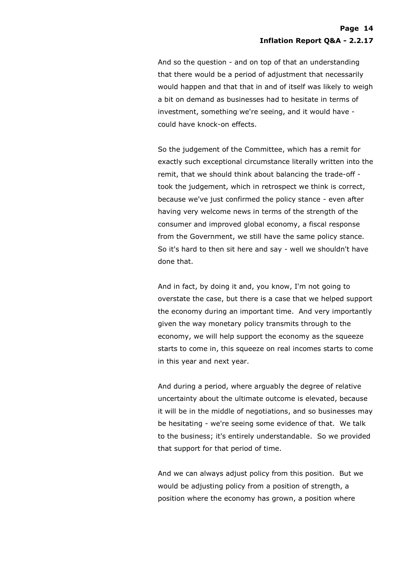And so the question - and on top of that an understanding that there would be a period of adjustment that necessarily would happen and that that in and of itself was likely to weigh a bit on demand as businesses had to hesitate in terms of investment, something we're seeing, and it would have could have knock-on effects.

So the judgement of the Committee, which has a remit for exactly such exceptional circumstance literally written into the remit, that we should think about balancing the trade-off took the judgement, which in retrospect we think is correct, because we've just confirmed the policy stance - even after having very welcome news in terms of the strength of the consumer and improved global economy, a fiscal response from the Government, we still have the same policy stance. So it's hard to then sit here and say - well we shouldn't have done that.

And in fact, by doing it and, you know, I'm not going to overstate the case, but there is a case that we helped support the economy during an important time. And very importantly given the way monetary policy transmits through to the economy, we will help support the economy as the squeeze starts to come in, this squeeze on real incomes starts to come in this year and next year.

And during a period, where arguably the degree of relative uncertainty about the ultimate outcome is elevated, because it will be in the middle of negotiations, and so businesses may be hesitating - we're seeing some evidence of that. We talk to the business; it's entirely understandable. So we provided that support for that period of time.

And we can always adjust policy from this position. But we would be adjusting policy from a position of strength, a position where the economy has grown, a position where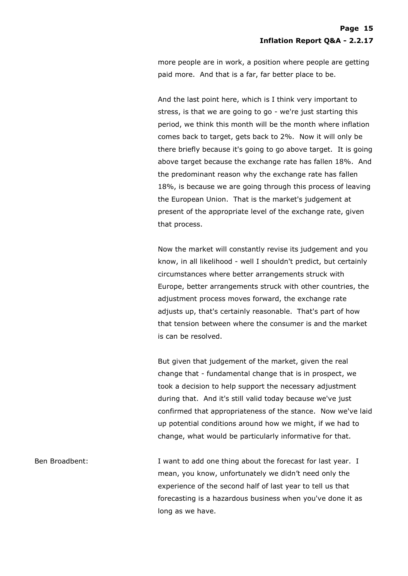more people are in work, a position where people are getting paid more. And that is a far, far better place to be.

And the last point here, which is I think very important to stress, is that we are going to go - we're just starting this period, we think this month will be the month where inflation comes back to target, gets back to 2%. Now it will only be there briefly because it's going to go above target. It is going above target because the exchange rate has fallen 18%. And the predominant reason why the exchange rate has fallen 18%, is because we are going through this process of leaving the European Union. That is the market's judgement at present of the appropriate level of the exchange rate, given that process.

Now the market will constantly revise its judgement and you know, in all likelihood - well I shouldn't predict, but certainly circumstances where better arrangements struck with Europe, better arrangements struck with other countries, the adjustment process moves forward, the exchange rate adjusts up, that's certainly reasonable. That's part of how that tension between where the consumer is and the market is can be resolved.

But given that judgement of the market, given the real change that - fundamental change that is in prospect, we took a decision to help support the necessary adjustment during that. And it's still valid today because we've just confirmed that appropriateness of the stance. Now we've laid up potential conditions around how we might, if we had to change, what would be particularly informative for that.

Ben Broadbent: I want to add one thing about the forecast for last year. I mean, you know, unfortunately we didn't need only the experience of the second half of last year to tell us that forecasting is a hazardous business when you've done it as long as we have.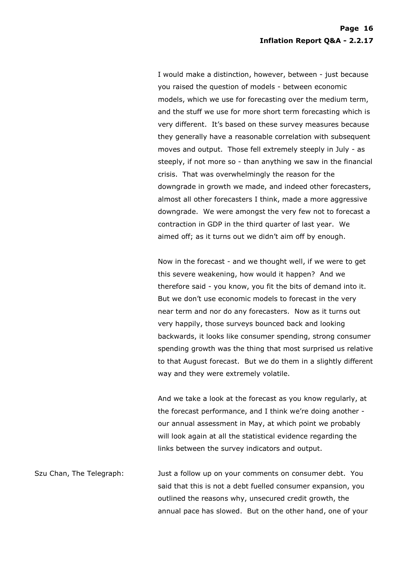I would make a distinction, however, between - just because you raised the question of models - between economic models, which we use for forecasting over the medium term, and the stuff we use for more short term forecasting which is very different. It's based on these survey measures because they generally have a reasonable correlation with subsequent moves and output. Those fell extremely steeply in July - as steeply, if not more so - than anything we saw in the financial crisis. That was overwhelmingly the reason for the downgrade in growth we made, and indeed other forecasters, almost all other forecasters I think, made a more aggressive downgrade. We were amongst the very few not to forecast a contraction in GDP in the third quarter of last year. We aimed off; as it turns out we didn't aim off by enough.

Now in the forecast - and we thought well, if we were to get this severe weakening, how would it happen? And we therefore said - you know, you fit the bits of demand into it. But we don't use economic models to forecast in the very near term and nor do any forecasters. Now as it turns out very happily, those surveys bounced back and looking backwards, it looks like consumer spending, strong consumer spending growth was the thing that most surprised us relative to that August forecast. But we do them in a slightly different way and they were extremely volatile.

And we take a look at the forecast as you know regularly, at the forecast performance, and I think we're doing another our annual assessment in May, at which point we probably will look again at all the statistical evidence regarding the links between the survey indicators and output.

Szu Chan, The Telegraph: Just a follow up on your comments on consumer debt. You said that this is not a debt fuelled consumer expansion, you outlined the reasons why, unsecured credit growth, the annual pace has slowed. But on the other hand, one of your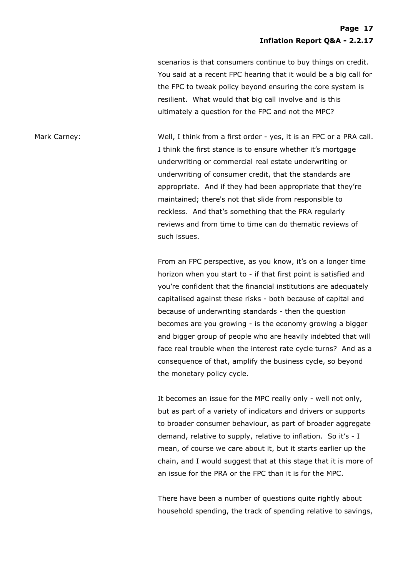scenarios is that consumers continue to buy things on credit. You said at a recent FPC hearing that it would be a big call for the FPC to tweak policy beyond ensuring the core system is resilient. What would that big call involve and is this ultimately a question for the FPC and not the MPC?

Mark Carney: Well, I think from a first order - yes, it is an FPC or a PRA call. I think the first stance is to ensure whether it's mortgage underwriting or commercial real estate underwriting or underwriting of consumer credit, that the standards are appropriate. And if they had been appropriate that they're maintained; there's not that slide from responsible to reckless. And that's something that the PRA regularly reviews and from time to time can do thematic reviews of such issues.

> From an FPC perspective, as you know, it's on a longer time horizon when you start to - if that first point is satisfied and you're confident that the financial institutions are adequately capitalised against these risks - both because of capital and because of underwriting standards - then the question becomes are you growing - is the economy growing a bigger and bigger group of people who are heavily indebted that will face real trouble when the interest rate cycle turns? And as a consequence of that, amplify the business cycle, so beyond the monetary policy cycle.

> It becomes an issue for the MPC really only - well not only, but as part of a variety of indicators and drivers or supports to broader consumer behaviour, as part of broader aggregate demand, relative to supply, relative to inflation. So it's - I mean, of course we care about it, but it starts earlier up the chain, and I would suggest that at this stage that it is more of an issue for the PRA or the FPC than it is for the MPC.

> There have been a number of questions quite rightly about household spending, the track of spending relative to savings,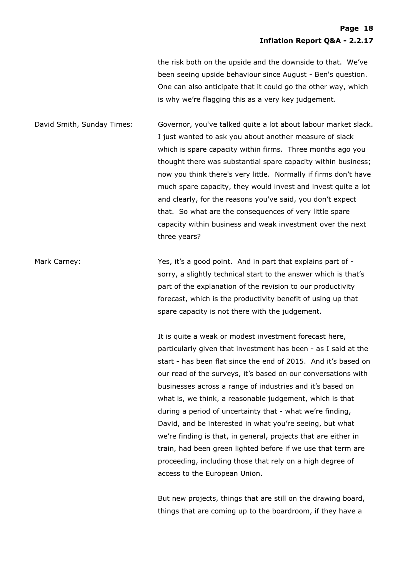the risk both on the upside and the downside to that. We've been seeing upside behaviour since August - Ben's question. One can also anticipate that it could go the other way, which is why we're flagging this as a very key judgement.

David Smith, Sunday Times: Governor, you've talked quite a lot about labour market slack. I just wanted to ask you about another measure of slack which is spare capacity within firms. Three months ago you thought there was substantial spare capacity within business; now you think there's very little. Normally if firms don't have much spare capacity, they would invest and invest quite a lot and clearly, for the reasons you've said, you don't expect that. So what are the consequences of very little spare capacity within business and weak investment over the next three years?

Mark Carney: The State of the Yes, it's a good point. And in part that explains part of sorry, a slightly technical start to the answer which is that's part of the explanation of the revision to our productivity forecast, which is the productivity benefit of using up that spare capacity is not there with the judgement.

> It is quite a weak or modest investment forecast here, particularly given that investment has been - as I said at the start - has been flat since the end of 2015. And it's based on our read of the surveys, it's based on our conversations with businesses across a range of industries and it's based on what is, we think, a reasonable judgement, which is that during a period of uncertainty that - what we're finding, David, and be interested in what you're seeing, but what we're finding is that, in general, projects that are either in train, had been green lighted before if we use that term are proceeding, including those that rely on a high degree of access to the European Union.

But new projects, things that are still on the drawing board, things that are coming up to the boardroom, if they have a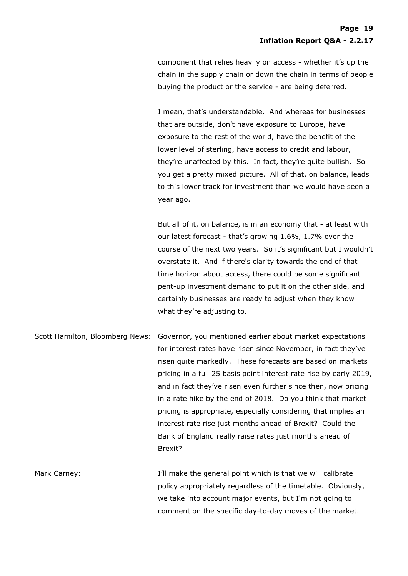component that relies heavily on access - whether it's up the chain in the supply chain or down the chain in terms of people buying the product or the service - are being deferred.

I mean, that's understandable. And whereas for businesses that are outside, don't have exposure to Europe, have exposure to the rest of the world, have the benefit of the lower level of sterling, have access to credit and labour, they're unaffected by this. In fact, they're quite bullish. So you get a pretty mixed picture. All of that, on balance, leads to this lower track for investment than we would have seen a year ago.

But all of it, on balance, is in an economy that - at least with our latest forecast - that's growing 1.6%, 1.7% over the course of the next two years. So it's significant but I wouldn't overstate it. And if there's clarity towards the end of that time horizon about access, there could be some significant pent-up investment demand to put it on the other side, and certainly businesses are ready to adjust when they know what they're adjusting to.

Scott Hamilton, Bloomberg News: Governor, you mentioned earlier about market expectations for interest rates have risen since November, in fact they've risen quite markedly. These forecasts are based on markets pricing in a full 25 basis point interest rate rise by early 2019, and in fact they've risen even further since then, now pricing in a rate hike by the end of 2018. Do you think that market pricing is appropriate, especially considering that implies an interest rate rise just months ahead of Brexit? Could the Bank of England really raise rates just months ahead of Brexit?

Mark Carney: T'll make the general point which is that we will calibrate policy appropriately regardless of the timetable. Obviously, we take into account major events, but I'm not going to comment on the specific day-to-day moves of the market.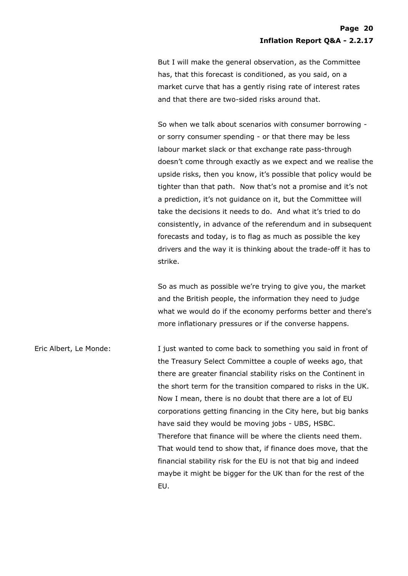But I will make the general observation, as the Committee has, that this forecast is conditioned, as you said, on a market curve that has a gently rising rate of interest rates and that there are two-sided risks around that.

So when we talk about scenarios with consumer borrowing or sorry consumer spending - or that there may be less labour market slack or that exchange rate pass-through doesn't come through exactly as we expect and we realise the upside risks, then you know, it's possible that policy would be tighter than that path. Now that's not a promise and it's not a prediction, it's not guidance on it, but the Committee will take the decisions it needs to do. And what it's tried to do consistently, in advance of the referendum and in subsequent forecasts and today, is to flag as much as possible the key drivers and the way it is thinking about the trade-off it has to strike.

So as much as possible we're trying to give you, the market and the British people, the information they need to judge what we would do if the economy performs better and there's more inflationary pressures or if the converse happens.

Eric Albert, Le Monde: I just wanted to come back to something you said in front of the Treasury Select Committee a couple of weeks ago, that there are greater financial stability risks on the Continent in the short term for the transition compared to risks in the UK. Now I mean, there is no doubt that there are a lot of EU corporations getting financing in the City here, but big banks have said they would be moving jobs - UBS, HSBC. Therefore that finance will be where the clients need them. That would tend to show that, if finance does move, that the financial stability risk for the EU is not that big and indeed maybe it might be bigger for the UK than for the rest of the EU.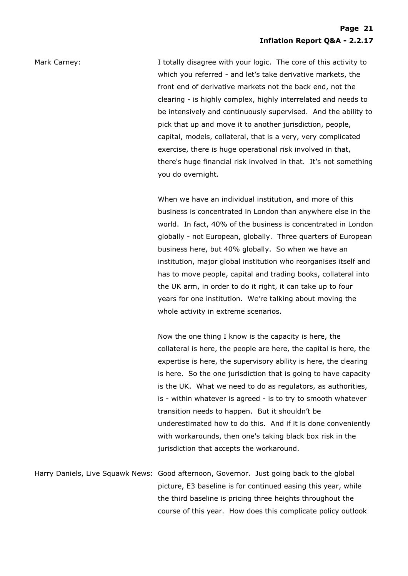Mark Carney: The Mark Carney: I totally disagree with your logic. The core of this activity to which you referred - and let's take derivative markets, the front end of derivative markets not the back end, not the clearing - is highly complex, highly interrelated and needs to be intensively and continuously supervised. And the ability to pick that up and move it to another jurisdiction, people, capital, models, collateral, that is a very, very complicated exercise, there is huge operational risk involved in that, there's huge financial risk involved in that. It's not something you do overnight.

> When we have an individual institution, and more of this business is concentrated in London than anywhere else in the world. In fact, 40% of the business is concentrated in London globally - not European, globally. Three quarters of European business here, but 40% globally. So when we have an institution, major global institution who reorganises itself and has to move people, capital and trading books, collateral into the UK arm, in order to do it right, it can take up to four years for one institution. We're talking about moving the whole activity in extreme scenarios.

Now the one thing I know is the capacity is here, the collateral is here, the people are here, the capital is here, the expertise is here, the supervisory ability is here, the clearing is here. So the one jurisdiction that is going to have capacity is the UK. What we need to do as regulators, as authorities, is - within whatever is agreed - is to try to smooth whatever transition needs to happen. But it shouldn't be underestimated how to do this. And if it is done conveniently with workarounds, then one's taking black box risk in the jurisdiction that accepts the workaround.

Harry Daniels, Live Squawk News: Good afternoon, Governor. Just going back to the global picture, E3 baseline is for continued easing this year, while the third baseline is pricing three heights throughout the course of this year. How does this complicate policy outlook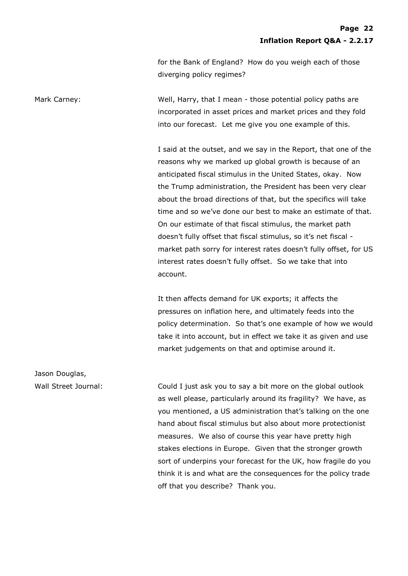for the Bank of England? How do you weigh each of those diverging policy regimes?

Mark Carney: Well, Harry, that I mean - those potential policy paths are incorporated in asset prices and market prices and they fold into our forecast. Let me give you one example of this.

> I said at the outset, and we say in the Report, that one of the reasons why we marked up global growth is because of an anticipated fiscal stimulus in the United States, okay. Now the Trump administration, the President has been very clear about the broad directions of that, but the specifics will take time and so we've done our best to make an estimate of that. On our estimate of that fiscal stimulus, the market path doesn't fully offset that fiscal stimulus, so it's net fiscal market path sorry for interest rates doesn't fully offset, for US interest rates doesn't fully offset. So we take that into account.

> It then affects demand for UK exports; it affects the pressures on inflation here, and ultimately feeds into the policy determination. So that's one example of how we would take it into account, but in effect we take it as given and use market judgements on that and optimise around it.

Wall Street Journal: Could I just ask you to say a bit more on the global outlook as well please, particularly around its fragility? We have, as you mentioned, a US administration that's talking on the one hand about fiscal stimulus but also about more protectionist measures. We also of course this year have pretty high stakes elections in Europe. Given that the stronger growth sort of underpins your forecast for the UK, how fragile do you think it is and what are the consequences for the policy trade off that you describe? Thank you.

Jason Douglas,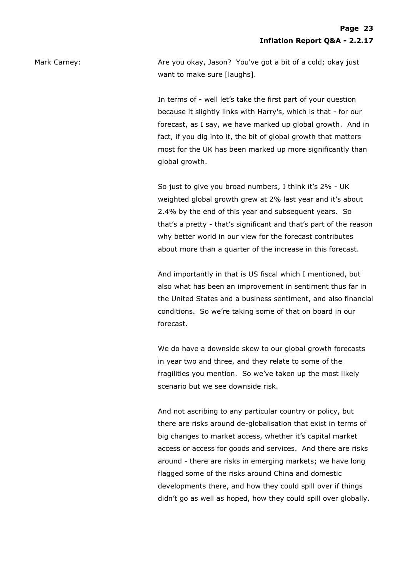Mark Carney: Are you okay, Jason? You've got a bit of a cold; okay just want to make sure [laughs].

> In terms of - well let's take the first part of your question because it slightly links with Harry's, which is that - for our forecast, as I say, we have marked up global growth. And in fact, if you dig into it, the bit of global growth that matters most for the UK has been marked up more significantly than global growth.

So just to give you broad numbers, I think it's 2% - UK weighted global growth grew at 2% last year and it's about 2.4% by the end of this year and subsequent years. So that's a pretty - that's significant and that's part of the reason why better world in our view for the forecast contributes about more than a quarter of the increase in this forecast.

And importantly in that is US fiscal which I mentioned, but also what has been an improvement in sentiment thus far in the United States and a business sentiment, and also financial conditions. So we're taking some of that on board in our forecast.

We do have a downside skew to our global growth forecasts in year two and three, and they relate to some of the fragilities you mention. So we've taken up the most likely scenario but we see downside risk.

And not ascribing to any particular country or policy, but there are risks around de-globalisation that exist in terms of big changes to market access, whether it's capital market access or access for goods and services. And there are risks around - there are risks in emerging markets; we have long flagged some of the risks around China and domestic developments there, and how they could spill over if things didn't go as well as hoped, how they could spill over globally.